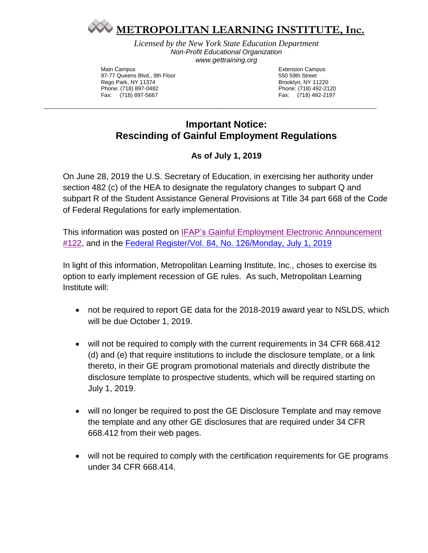

*Licensed by the New York State Education Department Non-Profit Educational Organization www.gettraining.org*

Main Campus 97-77 Queens Blvd., 9th Floor Rego Park, NY 11374 Phone: (718) 897-0482 Fax: (718) 897-5667

Extension Campus 550 59th Street Brooklyn, NY 11220 Phone: (718) 492-2120 Fax: (718) 492-2197

## **Important Notice: Rescinding of Gainful Employment Regulations**

\_\_\_\_\_\_\_\_\_\_\_\_\_\_\_\_\_\_\_\_\_\_\_\_\_\_\_\_\_\_\_\_\_\_\_\_\_\_\_\_\_\_\_\_\_\_\_\_\_\_\_\_\_\_\_\_\_\_\_\_\_\_\_\_\_\_\_\_\_\_\_\_\_\_\_\_\_\_\_\_\_\_\_\_\_\_\_\_\_\_\_\_\_\_\_\_\_\_\_\_\_\_\_\_\_\_\_

## **As of July 1, 2019**

On June 28, 2019 the U.S. Secretary of Education, in exercising her authority under section 482 (c) of the HEA to designate the regulatory changes to subpart Q and subpart R of the Student Assistance General Provisions at Title 34 part 668 of the Code of Federal Regulations for early implementation.

This information was posted on IFAP's [Gainful Employment Electronic Announcement](https://ifap.ed.gov/eannouncements/062819GEAnnounce122EarlyImplofRescissionGERule.html)  [#122,](https://ifap.ed.gov/eannouncements/062819GEAnnounce122EarlyImplofRescissionGERule.html) and in the [Federal Register/Vol. 84, No. 126/Monday, July 1, 2019](https://ifap.ed.gov/fregisters/attachments/FR070119GERegulation.pdf)

In light of this information, Metropolitan Learning Institute, Inc., choses to exercise its option to early implement recession of GE rules. As such, Metropolitan Learning Institute will:

- not be required to report GE data for the 2018-2019 award year to NSLDS, which will be due October 1, 2019.
- will not be required to comply with the current requirements in 34 CFR 668.412 (d) and (e) that require institutions to include the disclosure template, or a link thereto, in their GE program promotional materials and directly distribute the disclosure template to prospective students, which will be required starting on July 1, 2019.
- will no longer be required to post the GE Disclosure Template and may remove the template and any other GE disclosures that are required under 34 CFR 668.412 from their web pages.
- will not be required to comply with the certification requirements for GE programs under 34 CFR 668.414.